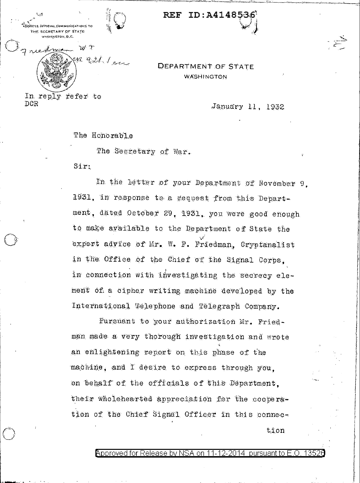.<br>THE SCORETARY OF STATE **VASHÍNATON D. C.** WT R qitt les

 $ID: A4148$ **REF** 

**DEPARTMENT OF STATE** WASHINGTON

In reply refer to DCR

January 11, 1932

The Honorable

The Secretary of War.

 $Sir:$ 

In the letter of your Department of November 9. 1931, in response to a gequest from this Department, dated October 29, 1931, you were good enough to make available to the Department of State the expert advice of Mr. W. P. Friedman, Cryptanalist in the Office of the Chief of the Signal Corps. in connection with investigating the secrecy element of a cipher writing machine developed by the International Telephone and Telegraph Company.

Pursuant to your authorization Mr. Friedman made a very thorough investigation and wrote an enlightening report on this phase of the machine, and I desire to express through you. on behalf of the officials of this Department. their wholehearted appreciation for the cooperation of the Chief Signal Officer in this connec $t$ ion

> Approved for Release by NSA on 11-12-2014 pursuant to E